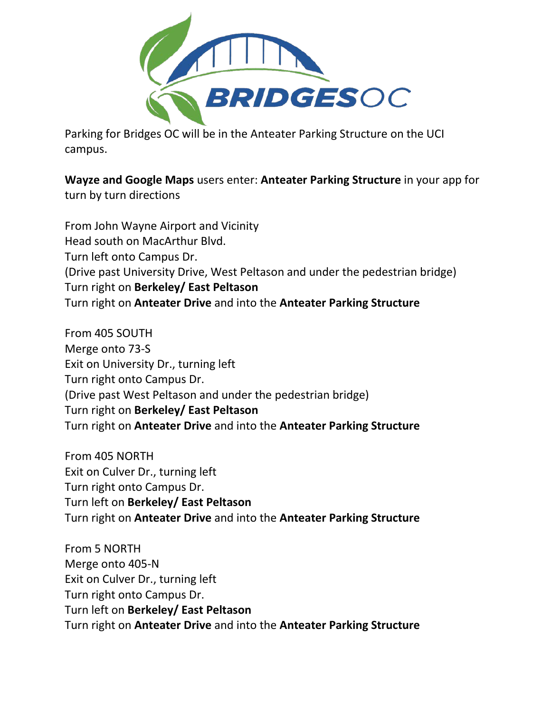

Parking for Bridges OC will be in the Anteater Parking Structure on the UCI campus.

**Wayze and Google Maps** users enter: **Anteater Parking Structure** in your app for turn by turn directions

From John Wayne Airport and Vicinity Head south on MacArthur Blvd. Turn left onto Campus Dr. (Drive past University Drive, West Peltason and under the pedestrian bridge) Turn right on **Berkeley/ East Peltason** Turn right on **Anteater Drive** and into the **Anteater Parking Structure**

From 405 SOUTH Merge onto 73-S Exit on University Dr., turning left Turn right onto Campus Dr. (Drive past West Peltason and under the pedestrian bridge) Turn right on **Berkeley/ East Peltason** Turn right on **Anteater Drive** and into the **Anteater Parking Structure**

From 405 NORTH Exit on Culver Dr., turning left Turn right onto Campus Dr. Turn left on **Berkeley/ East Peltason** Turn right on **Anteater Drive** and into the **Anteater Parking Structure**

From 5 NORTH Merge onto 405-N Exit on Culver Dr., turning left Turn right onto Campus Dr. Turn left on **Berkeley/ East Peltason** Turn right on **Anteater Drive** and into the **Anteater Parking Structure**